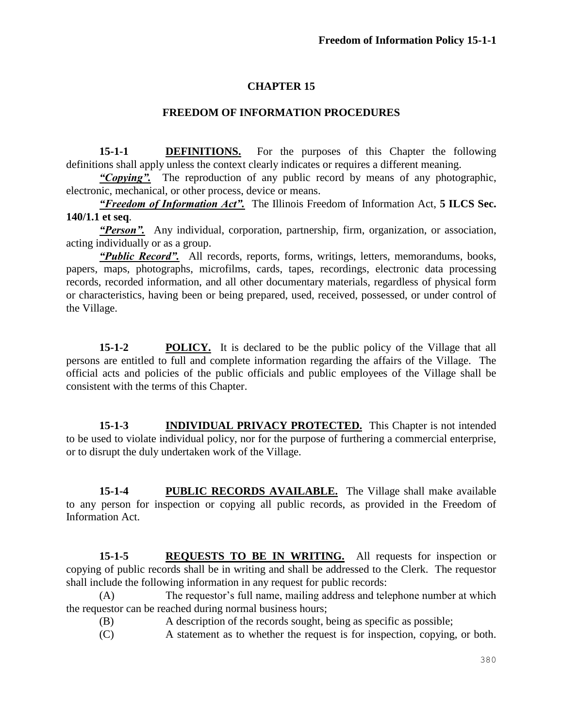## **CHAPTER 15**

### **FREEDOM OF INFORMATION PROCEDURES**

**15-1-1 DEFINITIONS.** For the purposes of this Chapter the following definitions shall apply unless the context clearly indicates or requires a different meaning.

*"Copying".*The reproduction of any public record by means of any photographic, electronic, mechanical, or other process, device or means.

*"Freedom of Information Act".* The Illinois Freedom of Information Act, **5 ILCS Sec. 140/1.1 et seq**.

*"Person".* Any individual, corporation, partnership, firm, organization, or association, acting individually or as a group.

*"Public Record".* All records, reports, forms, writings, letters, memorandums, books, papers, maps, photographs, microfilms, cards, tapes, recordings, electronic data processing records, recorded information, and all other documentary materials, regardless of physical form or characteristics, having been or being prepared, used, received, possessed, or under control of the Village.

**15-1-2 POLICY.** It is declared to be the public policy of the Village that all persons are entitled to full and complete information regarding the affairs of the Village. The official acts and policies of the public officials and public employees of the Village shall be consistent with the terms of this Chapter.

**15-1-3 INDIVIDUAL PRIVACY PROTECTED.** This Chapter is not intended to be used to violate individual policy, nor for the purpose of furthering a commercial enterprise, or to disrupt the duly undertaken work of the Village.

**15-1-4 PUBLIC RECORDS AVAILABLE.** The Village shall make available to any person for inspection or copying all public records, as provided in the Freedom of Information Act.

**15-1-5 REQUESTS TO BE IN WRITING.** All requests for inspection or copying of public records shall be in writing and shall be addressed to the Clerk. The requestor shall include the following information in any request for public records:

(A) The requestor's full name, mailing address and telephone number at which the requestor can be reached during normal business hours;

- (B) A description of the records sought, being as specific as possible;
- (C) A statement as to whether the request is for inspection, copying, or both.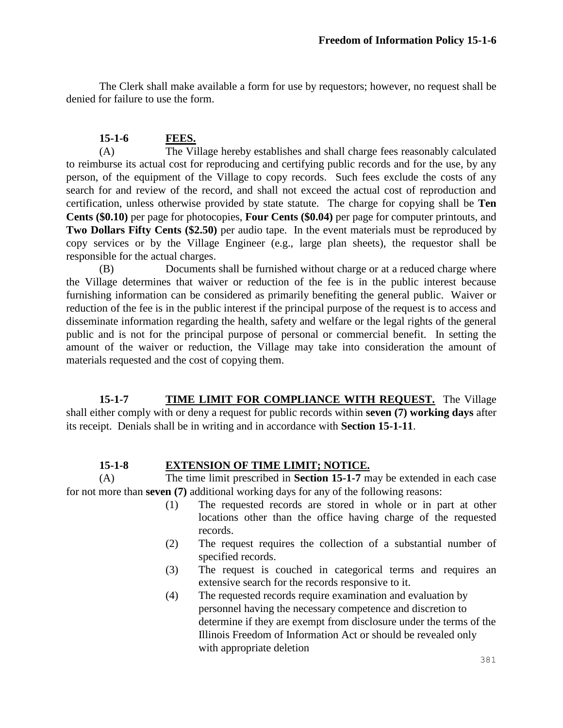The Clerk shall make available a form for use by requestors; however, no request shall be denied for failure to use the form.

### **15-1-6 FEES.**

(A) The Village hereby establishes and shall charge fees reasonably calculated to reimburse its actual cost for reproducing and certifying public records and for the use, by any person, of the equipment of the Village to copy records. Such fees exclude the costs of any search for and review of the record, and shall not exceed the actual cost of reproduction and certification, unless otherwise provided by state statute. The charge for copying shall be **Ten Cents (\$0.10)** per page for photocopies, **Four Cents (\$0.04)** per page for computer printouts, and **Two Dollars Fifty Cents (\$2.50)** per audio tape. In the event materials must be reproduced by copy services or by the Village Engineer (e.g., large plan sheets), the requestor shall be responsible for the actual charges.

(B) Documents shall be furnished without charge or at a reduced charge where the Village determines that waiver or reduction of the fee is in the public interest because furnishing information can be considered as primarily benefiting the general public. Waiver or reduction of the fee is in the public interest if the principal purpose of the request is to access and disseminate information regarding the health, safety and welfare or the legal rights of the general public and is not for the principal purpose of personal or commercial benefit. In setting the amount of the waiver or reduction, the Village may take into consideration the amount of materials requested and the cost of copying them.

**15-1-7 TIME LIMIT FOR COMPLIANCE WITH REQUEST.** The Village shall either comply with or deny a request for public records within **seven (7) working days** after its receipt. Denials shall be in writing and in accordance with **Section 15-1-11**.

#### **15-1-8 EXTENSION OF TIME LIMIT; NOTICE.**

(A) The time limit prescribed in **Section 15-1-7** may be extended in each case for not more than **seven (7)** additional working days for any of the following reasons:

- (1) The requested records are stored in whole or in part at other locations other than the office having charge of the requested records.
- (2) The request requires the collection of a substantial number of specified records.
- (3) The request is couched in categorical terms and requires an extensive search for the records responsive to it.
- (4) The requested records require examination and evaluation by personnel having the necessary competence and discretion to determine if they are exempt from disclosure under the terms of the Illinois Freedom of Information Act or should be revealed only with appropriate deletion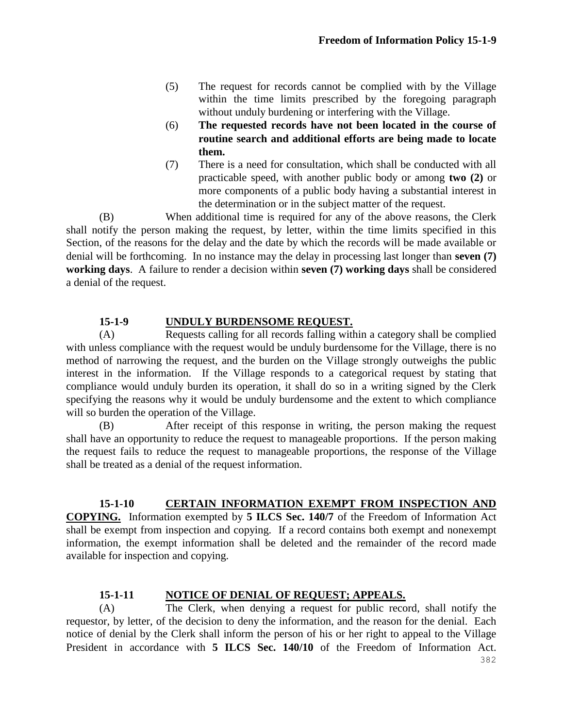- (5) The request for records cannot be complied with by the Village within the time limits prescribed by the foregoing paragraph without unduly burdening or interfering with the Village.
- (6) **The requested records have not been located in the course of routine search and additional efforts are being made to locate them.**
- (7) There is a need for consultation, which shall be conducted with all practicable speed, with another public body or among **two (2)** or more components of a public body having a substantial interest in the determination or in the subject matter of the request.

(B) When additional time is required for any of the above reasons, the Clerk shall notify the person making the request, by letter, within the time limits specified in this Section, of the reasons for the delay and the date by which the records will be made available or denial will be forthcoming. In no instance may the delay in processing last longer than **seven (7) working days**. A failure to render a decision within **seven (7) working days** shall be considered a denial of the request.

## **15-1-9 UNDULY BURDENSOME REQUEST.**

(A) Requests calling for all records falling within a category shall be complied with unless compliance with the request would be unduly burdensome for the Village, there is no method of narrowing the request, and the burden on the Village strongly outweighs the public interest in the information. If the Village responds to a categorical request by stating that compliance would unduly burden its operation, it shall do so in a writing signed by the Clerk specifying the reasons why it would be unduly burdensome and the extent to which compliance will so burden the operation of the Village.

(B) After receipt of this response in writing, the person making the request shall have an opportunity to reduce the request to manageable proportions. If the person making the request fails to reduce the request to manageable proportions, the response of the Village shall be treated as a denial of the request information.

## **15-1-10 CERTAIN INFORMATION EXEMPT FROM INSPECTION AND**

**COPYING.** Information exempted by **5 ILCS Sec. 140/7** of the Freedom of Information Act shall be exempt from inspection and copying. If a record contains both exempt and nonexempt information, the exempt information shall be deleted and the remainder of the record made available for inspection and copying.

## **15-1-11 NOTICE OF DENIAL OF REQUEST; APPEALS.**

(A) The Clerk, when denying a request for public record, shall notify the requestor, by letter, of the decision to deny the information, and the reason for the denial. Each notice of denial by the Clerk shall inform the person of his or her right to appeal to the Village President in accordance with **5 ILCS Sec. 140/10** of the Freedom of Information Act.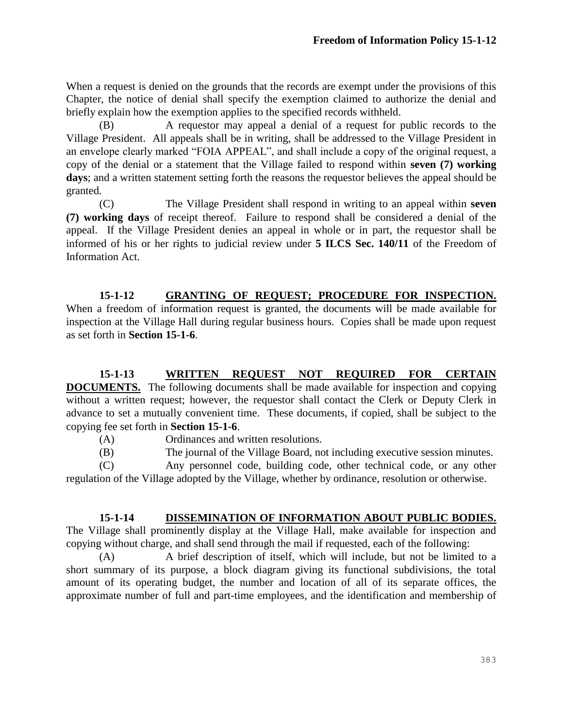When a request is denied on the grounds that the records are exempt under the provisions of this Chapter, the notice of denial shall specify the exemption claimed to authorize the denial and briefly explain how the exemption applies to the specified records withheld.

(B) A requestor may appeal a denial of a request for public records to the Village President. All appeals shall be in writing, shall be addressed to the Village President in an envelope clearly marked "FOIA APPEAL", and shall include a copy of the original request, a copy of the denial or a statement that the Village failed to respond within **seven (7) working days**; and a written statement setting forth the reasons the requestor believes the appeal should be granted.

(C) The Village President shall respond in writing to an appeal within **seven (7) working days** of receipt thereof. Failure to respond shall be considered a denial of the appeal. If the Village President denies an appeal in whole or in part, the requestor shall be informed of his or her rights to judicial review under **5 ILCS Sec. 140/11** of the Freedom of Information Act.

**15-1-12 GRANTING OF REQUEST; PROCEDURE FOR INSPECTION.**  When a freedom of information request is granted, the documents will be made available for inspection at the Village Hall during regular business hours. Copies shall be made upon request as set forth in **Section 15-1-6**.

**15-1-13 WRITTEN REQUEST NOT REQUIRED FOR CERTAIN DOCUMENTS.** The following documents shall be made available for inspection and copying without a written request; however, the requestor shall contact the Clerk or Deputy Clerk in advance to set a mutually convenient time. These documents, if copied, shall be subject to the copying fee set forth in **Section 15-1-6**.

- (A) Ordinances and written resolutions.
- (B) The journal of the Village Board, not including executive session minutes.

(C) Any personnel code, building code, other technical code, or any other regulation of the Village adopted by the Village, whether by ordinance, resolution or otherwise.

# **15-1-14 DISSEMINATION OF INFORMATION ABOUT PUBLIC BODIES.**

The Village shall prominently display at the Village Hall, make available for inspection and copying without charge, and shall send through the mail if requested, each of the following:

(A) A brief description of itself, which will include, but not be limited to a short summary of its purpose, a block diagram giving its functional subdivisions, the total amount of its operating budget, the number and location of all of its separate offices, the approximate number of full and part-time employees, and the identification and membership of